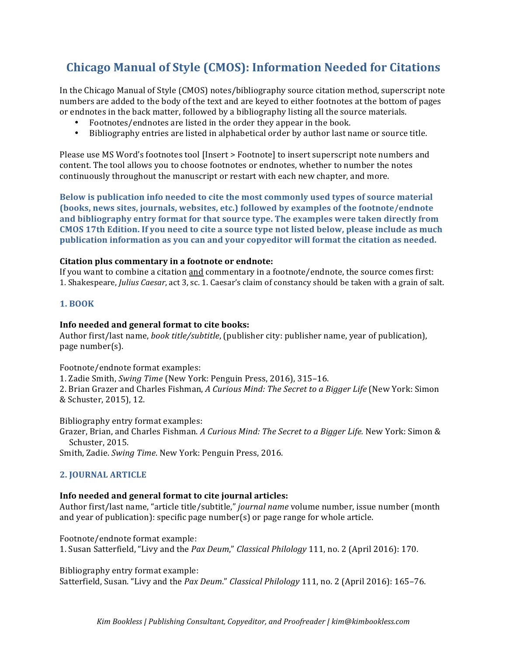# **Chicago Manual of Style (CMOS): Information Needed for Citations**

In the Chicago Manual of Style (CMOS) notes/bibliography source citation method, superscript note numbers are added to the body of the text and are keyed to either footnotes at the bottom of pages or endnotes in the back matter, followed by a bibliography listing all the source materials.

- Footnotes/endnotes are listed in the order they appear in the book.
- Bibliography entries are listed in alphabetical order by author last name or source title.

Please use MS Word's footnotes tool [Insert > Footnote] to insert superscript note numbers and content. The tool allows you to choose footnotes or endnotes, whether to number the notes continuously throughout the manuscript or restart with each new chapter, and more.

**Below is publication info needed to cite the most commonly used types of source material (books, news sites, journals, websites, etc.) followed by examples of the footnote/endnote** and bibliography entry format for that source type. The examples were taken directly from CMOS 17th Edition. If you need to cite a source type not listed below, please include as much publication information as you can and your copyeditor will format the citation as needed.

## **Citation plus commentary in a footnote or endnote:**

If you want to combine a citation and commentary in a footnote/endnote, the source comes first: 1. Shakespeare, *Julius Caesar*, act 3, sc. 1. Caesar's claim of constancy should be taken with a grain of salt.

#### **1. BOOK**

#### **Info needed and general format to cite books:**

Author first/last name, *book title/subtitle*, (publisher city: publisher name, year of publication), page number(s).

Footnote/endnote format examples:

1. Zadie Smith, *Swing Time* (New York: Penguin Press, 2016), 315-16.

2. Brian Grazer and Charles Fishman, *A Curious Mind: The Secret to a Bigger Life* (New York: Simon & Schuster, 2015), 12.

Bibliography entry format examples:

Grazer, Brian, and Charles Fishman. *A Curious Mind: The Secret to a Bigger Life*. New York: Simon & Schuster, 2015.

Smith, Zadie. *Swing Time*. New York: Penguin Press, 2016.

## **2. JOURNAL ARTICLE**

## **Info needed and general format to cite journal articles:**

Author first/last name, "article title/subtitle," journal name volume number, issue number (month and year of publication): specific page  $number(s)$  or page range for whole article.

Footnote/endnote format example:

1. Susan Satterfield, "Livy and the *Pax Deum*," *Classical Philology* 111, no. 2 (April 2016): 170.

Bibliography entry format example:

Satterfield, Susan. "Livy and the *Pax Deum." Classical Philology* 111, no. 2 (April 2016): 165-76.